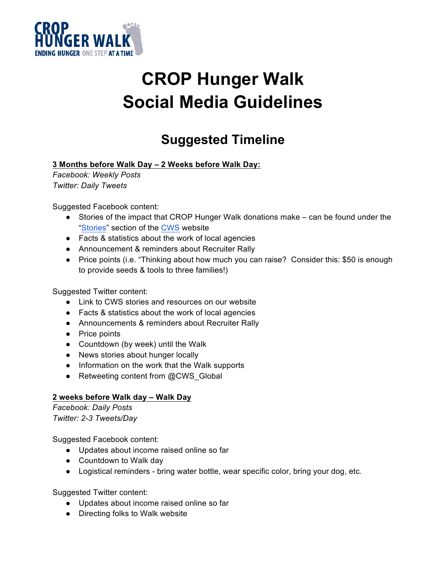

# **CROP Hunger Walk Social Media Guidelines**

## **Suggested Timeline**

**3 Months before Walk Day – 2 Weeks before Walk Day:**

*Facebook: Weekly Posts Twitter: Daily Tweets*

Suggested Facebook content:

- Stories of the impact that CROP Hunger Walk donations make can be found under the "Stories" section of the CWS website
- Facts & statistics about the work of local agencies
- Announcement & reminders about Recruiter Rally
- Price points (i.e. "Thinking about how much you can raise? Consider this: \$50 is enough to provide seeds & tools to three families!)

Suggested Twitter content:

- Link to CWS stories and resources on our website
- Facts & statistics about the work of local agencies
- Announcements & reminders about Recruiter Rally
- Price points
- Countdown (by week) until the Walk
- News stories about hunger locally
- Information on the work that the Walk supports
- Retweeting content from @CWS\_Global

#### **2 weeks before Walk day – Walk Day**

*Facebook: Daily Posts Twitter: 2-3 Tweets/Day*

Suggested Facebook content:

- Updates about income raised online so far
- Countdown to Walk day
- Logistical reminders bring water bottle, wear specific color, bring your dog, etc.

Suggested Twitter content:

- Updates about income raised online so far
- Directing folks to Walk website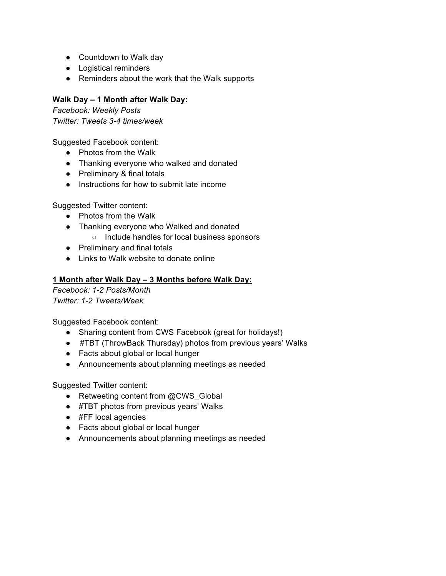- Countdown to Walk day
- Logistical reminders
- Reminders about the work that the Walk supports

### **Walk Day – 1 Month after Walk Day:**

*Facebook: Weekly Posts Twitter: Tweets 3-4 times/week*

Suggested Facebook content:

- Photos from the Walk
- Thanking everyone who walked and donated
- Preliminary & final totals
- Instructions for how to submit late income

Suggested Twitter content:

- Photos from the Walk
- Thanking everyone who Walked and donated
	- Include handles for local business sponsors
- Preliminary and final totals
- Links to Walk website to donate online

#### **1 Month after Walk Day – 3 Months before Walk Day:**

*Facebook: 1-2 Posts/Month Twitter: 1-2 Tweets/Week*

Suggested Facebook content:

- Sharing content from CWS Facebook (great for holidays!)
- #TBT (ThrowBack Thursday) photos from previous years' Walks
- Facts about global or local hunger
- Announcements about planning meetings as needed

Suggested Twitter content:

- Retweeting content from @CWS\_Global
- #TBT photos from previous years' Walks
- #FF local agencies
- Facts about global or local hunger
- Announcements about planning meetings as needed